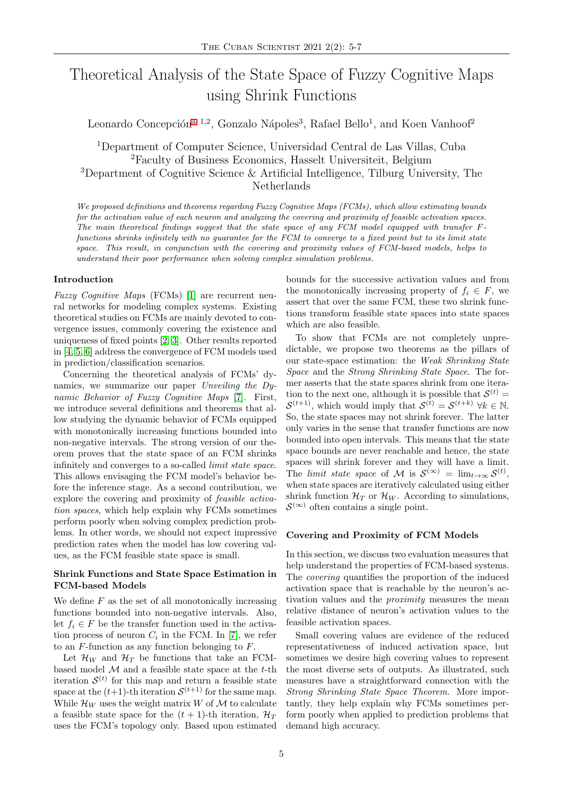# Theoretical Analysis of the State Space of Fuzzy Cognitive Maps using Shrink Functions

Leon[a](#page-1-0)rdo Concepción<sup>a 1,2</sup>, Gonzalo Nápoles<sup>3</sup>, Rafael Bello<sup>1</sup>, and Koen Vanhoof<sup>2</sup>

Department of Computer Science, Universidad Central de Las Villas, Cuba Faculty of Business Economics, Hasselt Universiteit, Belgium Department of Cognitive Science & Artificial Intelligence, Tilburg University, The Netherlands

We proposed definitions and theorems regarding Fuzzy Cognitive Maps (FCMs), which allow estimating bounds for the activation value of each neuron and analyzing the covering and proximity of feasible activation spaces. The main theoretical findings suggest that the state space of any FCM model equipped with transfer Ffunctions shrinks infinitely with no guarantee for the FCM to converge to a fixed point but to its limit state space. This result, in conjunction with the covering and proximity values of FCM-based models, helps to understand their poor performance when solving complex simulation problems.

## Introduction

Fuzzy Cognitive Maps (FCMs) [\[1\]](#page-1-1) are recurrent neural networks for modeling complex systems. Existing theoretical studies on FCMs are mainly devoted to convergence issues, commonly covering the existence and uniqueness of fixed points [\[2,](#page-1-2) [3\]](#page-1-3). Other results reported in [\[4,](#page-1-4) [5,](#page-1-5) [6\]](#page-1-6) address the convergence of FCM models used in prediction/classification scenarios.

Concerning the theoretical analysis of FCMs' dynamics, we summarize our paper Unveiling the Dynamic Behavior of Fuzzy Cognitive Maps [\[7\]](#page-1-7). First, we introduce several definitions and theorems that allow studying the dynamic behavior of FCMs equipped with monotonically increasing functions bounded into non-negative intervals. The strong version of our theorem proves that the state space of an FCM shrinks infinitely and converges to a so-called limit state space. This allows envisaging the FCM model's behavior before the inference stage. As a second contribution, we explore the covering and proximity of feasible activation spaces, which help explain why FCMs sometimes perform poorly when solving complex prediction problems. In other words, we should not expect impressive prediction rates when the model has low covering values, as the FCM feasible state space is small.

# Shrink Functions and State Space Estimation in FCM-based Models

We define  $F$  as the set of all monotonically increasing functions bounded into non-negative intervals. Also, let  $f_i \in F$  be the transfer function used in the activation process of neuron  $C_i$  in the FCM. In [\[7\]](#page-1-7), we refer to an F-function as any function belonging to F.

Let  $\mathcal{H}_W$  and  $\mathcal{H}_T$  be functions that take an FCMbased model  $M$  and a feasible state space at the  $t$ -th iteration  $\mathcal{S}^{(t)}$  for this map and return a feasible state space at the  $(t+1)$ -th iteration  $\mathcal{S}^{(t+1)}$  for the same map. While  $\mathcal{H}_W$  uses the weight matrix W of M to calculate a feasible state space for the  $(t + 1)$ -th iteration,  $\mathcal{H}_T$ uses the FCM's topology only. Based upon estimated bounds for the successive activation values and from the monotonically increasing property of  $f_i \in F$ , we assert that over the same FCM, these two shrink functions transform feasible state spaces into state spaces which are also feasible.

To show that FCMs are not completely unpredictable, we propose two theorems as the pillars of our state-space estimation: the Weak Shrinking State Space and the Strong Shrinking State Space. The former asserts that the state spaces shrink from one iteration to the next one, although it is possible that  $\mathcal{S}^{(t)}$  =  $\mathcal{S}^{(t+1)}$ , which would imply that  $\mathcal{S}^{(t)} = \mathcal{S}^{(t+k)}$   $\forall k \in \mathbb{N}$ . So, the state spaces may not shrink forever. The latter only varies in the sense that transfer functions are now bounded into open intervals. This means that the state space bounds are never reachable and hence, the state spaces will shrink forever and they will have a limit. The limit state space of M is  $S^{(\infty)} = \lim_{t \to \infty} S^{(t)}$ , when state spaces are iteratively calculated using either shrink function  $\mathcal{H}_T$  or  $\mathcal{H}_W$ . According to simulations,  $\mathcal{S}^{(\infty)}$  often contains a single point.

## Covering and Proximity of FCM Models

In this section, we discuss two evaluation measures that help understand the properties of FCM-based systems. The covering quantifies the proportion of the induced activation space that is reachable by the neuron's activation values and the proximity measures the mean relative distance of neuron's activation values to the feasible activation spaces.

Small covering values are evidence of the reduced representativeness of induced activation space, but sometimes we desire high covering values to represent the most diverse sets of outputs. As illustrated, such measures have a straightforward connection with the Strong Shrinking State Space Theorem. More importantly, they help explain why FCMs sometimes perform poorly when applied to prediction problems that demand high accuracy.